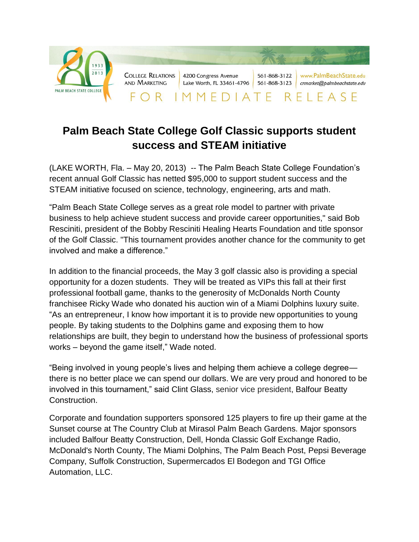

## **Palm Beach State College Golf Classic supports student success and STEAM initiative**

(LAKE WORTH, Fla. – May 20, 2013) -- The Palm Beach State College Foundation's recent annual Golf Classic has netted \$95,000 to support student success and the STEAM initiative focused on science, technology, engineering, arts and math.

"Palm Beach State College serves as a great role model to partner with private business to help achieve student success and provide career opportunities," said Bob Resciniti, president of the Bobby Resciniti Healing Hearts Foundation and title sponsor of the Golf Classic. "This tournament provides another chance for the community to get involved and make a difference."

In addition to the financial proceeds, the May 3 golf classic also is providing a special opportunity for a dozen students. They will be treated as VIPs this fall at their first professional football game, thanks to the generosity of McDonalds North County franchisee Ricky Wade who donated his auction win of a Miami Dolphins luxury suite. "As an entrepreneur, I know how important it is to provide new opportunities to young people. By taking students to the Dolphins game and exposing them to how relationships are built, they begin to understand how the business of professional sports works – beyond the game itself," Wade noted.

"Being involved in young people's lives and helping them achieve a college degree there is no better place we can spend our dollars. We are very proud and honored to be involved in this tournament," said Clint Glass, senior vice president, Balfour Beatty Construction.

Corporate and foundation supporters sponsored 125 players to fire up their game at the Sunset course at The Country Club at Mirasol Palm Beach Gardens. Major sponsors included Balfour Beatty Construction, Dell, Honda Classic Golf Exchange Radio, McDonald's North County, The Miami Dolphins, The Palm Beach Post, Pepsi Beverage Company, Suffolk Construction, Supermercados El Bodegon and TGI Office Automation, LLC.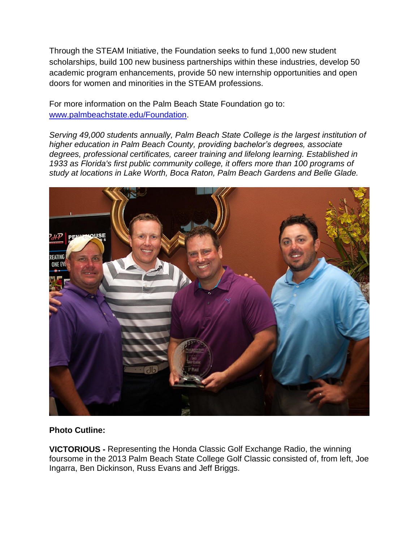Through the STEAM Initiative, the Foundation seeks to fund 1,000 new student scholarships, build 100 new business partnerships within these industries, develop 50 academic program enhancements, provide 50 new internship opportunities and open doors for women and minorities in the STEAM professions.

For more information on the Palm Beach State Foundation go to: [www.palmbeachstate.edu/Foundation.](http://www.palmbeachstate.edu/Foundation)

*Serving 49,000 students annually, Palm Beach State College is the largest institution of higher education in Palm Beach County, providing bachelor's degrees, associate degrees, professional certificates, career training and lifelong learning. Established in 1933 as Florida's first public community college, it offers more than 100 programs of study at locations in Lake Worth, Boca Raton, Palm Beach Gardens and Belle Glade.*



## **Photo Cutline:**

**VICTORIOUS -** Representing the Honda Classic Golf Exchange Radio, the winning foursome in the 2013 Palm Beach State College Golf Classic consisted of, from left, Joe Ingarra, Ben Dickinson, Russ Evans and Jeff Briggs.